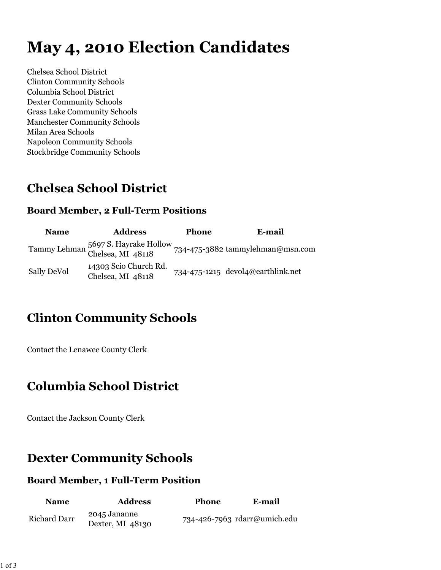# **May 4, 2010 Election Candidates**

Chelsea School District Clinton Community Schools Columbia School District Dexter Community Schools Grass Lake Community Schools Manchester Community Schools Milan Area Schools Napoleon Community Schools Stockbridge Community Schools

# **Chelsea School District**

#### **Board Member, 2 Full-Term Positions**

| <b>Name</b> | <b>Address</b>                                           | <b>Phone</b> | E-mail                            |
|-------------|----------------------------------------------------------|--------------|-----------------------------------|
|             | Tammy Lehman 5697 S. Hayrake Hollow<br>Chelsea, MI 48118 |              | 734-475-3882 tammylehman@msn.com  |
| Sally DeVol | 14303 Scio Church Rd.<br>Chelsea, MI 48118               |              | 734-475-1215 devol4@earthlink.net |

# **Clinton Community Schools**

Contact the Lenawee County Clerk

## **Columbia School District**

Contact the Jackson County Clerk

## **Dexter Community Schools**

#### **Board Member, 1 Full-Term Position**

| <b>Name</b>         | <b>Address</b>                   | <b>Phone</b> | E-mail                       |
|---------------------|----------------------------------|--------------|------------------------------|
| <b>Richard Darr</b> | 2045 Jananne<br>Dexter, MI 48130 |              | 734-426-7963 rdarr@umich.edu |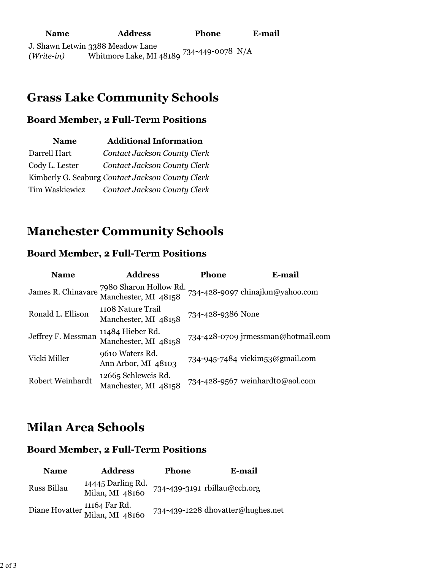## **Grass Lake Community Schools**

#### **Board Member, 2 Full-Term Positions**

| <b>Name</b>    | <b>Additional Information</b>                    |
|----------------|--------------------------------------------------|
| Darrell Hart   | Contact Jackson County Clerk                     |
| Cody L. Lester | Contact Jackson County Clerk                     |
|                | Kimberly G. Seaburg Contact Jackson County Clerk |
| Tim Waskiewicz | Contact Jackson County Clerk                     |

## **Manchester Community Schools**

#### **Board Member, 2 Full-Term Positions**

| <b>Name</b>        | <b>Address</b>                                                    | Phone             | E-mail                             |
|--------------------|-------------------------------------------------------------------|-------------------|------------------------------------|
|                    | James R. Chinavare 7980 Sharon Hollow Rd.<br>Manchester, MI 48158 |                   | 734-428-9097 chinajkm@yahoo.com    |
| Ronald L. Ellison  | 1108 Nature Trail<br>Manchester, MI 48158                         | 734-428-9386 None |                                    |
| Jeffrey F. Messman | 11484 Hieber Rd.<br>Manchester, MI 48158                          |                   | 734-428-0709 jrmessman@hotmail.com |
| Vicki Miller       | 9610 Waters Rd.<br>Ann Arbor, MI 48103                            |                   | 734-945-7484 vickim53@gmail.com    |
| Robert Weinhardt   | 12665 Schleweis Rd.<br>Manchester, MI 48158                       |                   | 734-428-9567 weinhardto@aol.com    |

#### **Milan Area Schools**

#### **Board Member, 2 Full-Term Positions**

| <b>Name</b> | <b>Address</b>                                  | <b>Phone</b> | E-mail                            |
|-------------|-------------------------------------------------|--------------|-----------------------------------|
| Russ Billau | 14445 Darling Rd.<br>Milan, MI 48160            |              | 734-439-3191 rbillau@cch.org      |
|             | Diane Hovatter 11164 Far Rd.<br>Milan, MI 48160 |              | 734-439-1228 dhovatter@hughes.net |